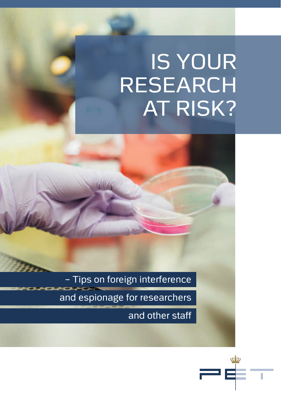# IS YOUR RESEARCH AT RISK?

– Tips on foreign interference

and espionage for researchers

and other staff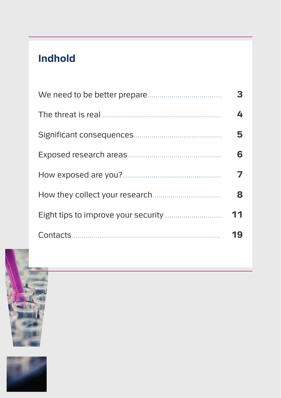# **Indhold**

| 4  |
|----|
| 5  |
| 6  |
|    |
| 8  |
| 11 |
| 19 |
|    |



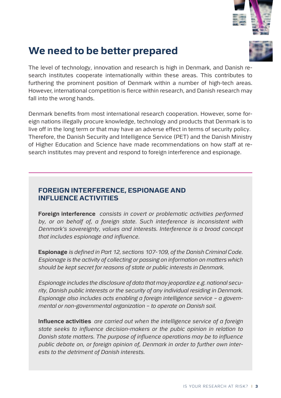

# **We need to be better prepared**

The level of technology, innovation and research is high in Denmark, and Danish research institutes cooperate internationally within these areas. This contributes to furthering the prominent position of Denmark within a number of high-tech areas. However, international competition is fierce within research, and Danish research may fall into the wrong hands.

Denmark benefits from most international research cooperation. However, some foreign nations illegally procure knowledge, technology and products that Denmark is to live off in the long term or that may have an adverse effect in terms of security policy. Therefore, the Danish Security and Intelligence Service (PET) and the Danish Ministry of Higher Education and Science have made recommendations on how staff at research institutes may prevent and respond to foreign interference and espionage.

## **FOREIGN INTERFERENCE, ESPIONAGE AND INFLUENCE ACTIVITIES**

**Foreign interference** *consists in covert or problematic activities performed*  by, or on behalf of, a foreign state. Such interference is inconsistent with *Denmark's sovereignty, values and interests. Interference is a broad concept that includes espionage and influence.*

**Espionage** *is defined in Part 12, sections 107-109, of the Danish Criminal Code. Espionage is the activity of collecting or passing on information on matters which should be kept secret for reasons of state or public interests in Denmark.* 

*Espionage includes the disclosure of data that may jeopardize e.g. national security, Danish public interests or the security of any individual residing in Denmark. Espionage also includes acts enabling a foreign intelligence service – a governmental or non-governmental organization – to operate on Danish soil.* 

**Influence activities** *are carried out when the intelligence service of a foreign state seeks to influence decision-makers or the pubic opinion in relation to Danish state matters. The purpose of influence operations may be to influence public debate on, or foreign opinion of, Denmark in order to further own interests to the detriment of Danish interests.*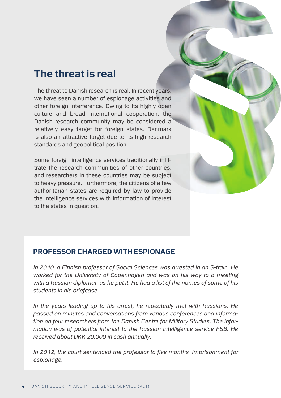# **The threat is real**

The threat to Danish research is real. In recent years, we have seen a number of espionage activities and other foreign interference. Owing to its highly open culture and broad international cooperation, the Danish research community may be considered a relatively easy target for foreign states. Denmark is also an attractive target due to its high research standards and geopolitical position.

Some foreign intelligence services traditionally infiltrate the research communities of other countries, and researchers in these countries may be subject to heavy pressure. Furthermore, the citizens of a few authoritarian states are required by law to provide the intelligence services with information of interest to the states in question.



## **PROFESSOR CHARGED WITH ESPIONAGE**

*In 2010, a Finnish professor of Social Sciences was arrested in an S-train. He worked for the University of Copenhagen and was on his way to a meeting with a Russian diplomat, as he put it. He had a list of the names of some of his students in his briefcase.* 

*In the years leading up to his arrest, he repeatedly met with Russians. He passed on minutes and conversations from various conferences and information on four researchers from the Danish Centre for Military Studies. The information was of potential interest to the Russian intelligence service FSB. He received about DKK 20,000 in cash annually.* 

*In 2012, the court sentenced the professor to five months' imprisonment for espionage.*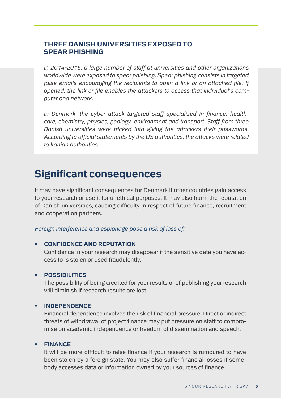### **THREE DANISH UNIVERSITIES EXPOSED TO SPEAR PHISHING**

*In 2014-2016, a large number of staff at universities and other organizations worldwide were exposed to spear phishing. Spear phishing consists in targeted*  false emails encouraging the recipients to open a link or an attached file. If *opened, the link or file enables the attackers to access that individual's computer and network.* 

*In Denmark, the cyber attack targeted staff specialized in finance, healthcare, chemistry, physics, geology, environment and transport. Staff from three Danish universities were tricked into giving the attackers their passwords. According to official statements by the US authorities, the attacks were related to Iranian authorities.*

# **Significant consequences**

It may have significant consequences for Denmark if other countries gain access to your research or use it for unethical purposes. It may also harm the reputation of Danish universities, causing difficulty in respect of future finance, recruitment and cooperation partners.

### *Foreign interference and espionage pose a risk of loss of:*

#### § **CONFIDENCE AND REPUTATION**

Confidence in your research may disappear if the sensitive data you have access to is stolen or used fraudulently.

#### § **POSSIBILITIES**

The possibility of being credited for your results or of publishing your research will diminish if research results are lost.

#### § **INDEPENDENCE**

Financial dependence involves the risk of financial pressure. Direct or indirect threats of withdrawal of project finance may put pressure on staff to compromise on academic independence or freedom of dissemination and speech.

#### § **FINANCE**

It will be more difficult to raise finance if your research is rumoured to have been stolen by a foreign state. You may also suffer financial losses if somebody accesses data or information owned by your sources of finance.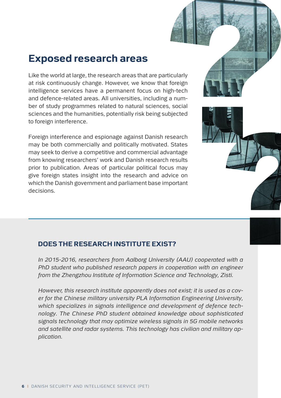# **Exposed research areas**

Like the world at large, the research areas that are particularly at risk continuously change. However, we know that foreign intelligence services have a permanent focus on high-tech and defence-related areas. All universities, including a number of study programmes related to natural sciences, social sciences and the humanities, potentially risk being subjected to foreign interference.

Foreign interference and espionage against Danish research may be both commercially and politically motivated. States may seek to derive a competitive and commercial advantage from knowing researchers' work and Danish research results prior to publication. Areas of particular political focus may give foreign states insight into the research and advice on which the Danish government and parliament base important decisions.





*In 2015-2016, researchers from Aalborg University (AAU) cooperated with a PhD student who published research papers in cooperation with an engineer from the Zhengzhou Institute of Information Science and Technology, Zisti.* 

*However, this research institute apparently does not exist; it is used as a cover for the Chinese military university PLA Information Engineering University, which specializes in signals intelligence and development of defence technology. The Chinese PhD student obtained knowledge about sophisticated signals technology that may optimize wireless signals in 5G mobile networks and satellite and radar systems. This technology has civilian and military application.*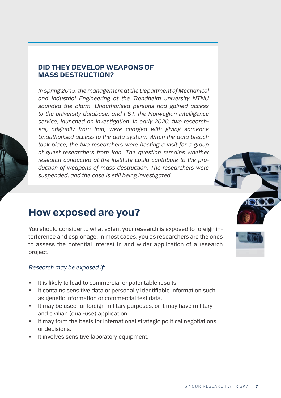### **DID THEY DEVELOP WEAPONS OF MASS DESTRUCTION?**

*In spring 2019, the management at the Department of Mechanical and Industrial Engineering at the Trondheim university NTNU sounded the alarm. Unauthorised persons had gained access to the university database, and PST, the Norwegian intelligence service, launched an investigation. In early 2020, two researchers, originally from Iran, were charged with giving someone Unauthorised access to the data system. When the data breach took place, the two researchers were hosting a visit for a group of guest researchers from Iran. The question remains whether research conducted at the institute could contribute to the production of weapons of mass destruction. The researchers were suspended, and the case is still being investigated.*



You should consider to what extent your research is exposed to foreign interference and espionage. In most cases, you as researchers are the ones to assess the potential interest in and wider application of a research project.

#### *Research may be exposed if:*

- It is likely to lead to commercial or patentable results.
- § It contains sensitive data or personally identifiable information such as genetic information or commercial test data.
- **EXT** It may be used for foreign military purposes, or it may have military and civilian (dual-use) application.
- It may form the basis for international strategic political negotiations or decisions.
- It involves sensitive laboratory equipment.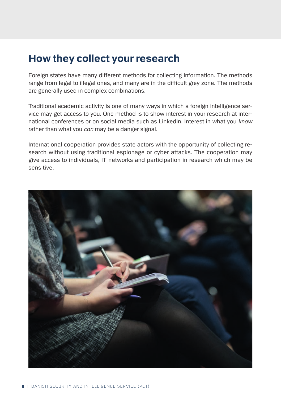# **How they collect your research**

Foreign states have many different methods for collecting information. The methods range from legal to illegal ones, and many are in the difficult grey zone. The methods are generally used in complex combinations.

Traditional academic activity is one of many ways in which a foreign intelligence service may get access to you. One method is to show interest in your research at international conferences or on social media such as LinkedIn. Interest in what you *know*  rather than what you *can* may be a danger signal.

International cooperation provides state actors with the opportunity of collecting research without using traditional espionage or cyber attacks. The cooperation may give access to individuals, IT networks and participation in research which may be sensitive.

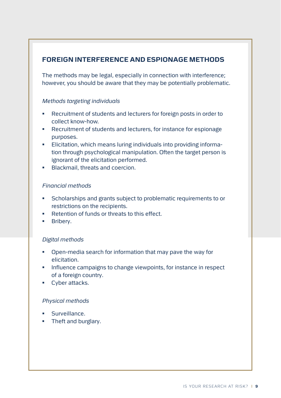### **FOREIGN INTERFERENCE AND ESPIONAGE METHODS**

The methods may be legal, especially in connection with interference; however, you should be aware that they may be potentially problematic.

#### *Methods targeting individuals*

- § Recruitment of students and lecturers for foreign posts in order to collect know-how.
- Recruitment of students and lecturers, for instance for espionage purposes.
- **Elicitation, which means luring individuals into providing informa**tion through psychological manipulation. Often the target person is ignorant of the elicitation performed.
- Blackmail, threats and coercion.

### *Financial methods*

- **•** Scholarships and grants subject to problematic requirements to or restrictions on the recipients.
- Retention of funds or threats to this effect.
- **■** Bribery.

### *Digital methods*

- § Open-media search for information that may pave the way for elicitation.
- **•** Influence campaigns to change viewpoints, for instance in respect of a foreign country.
- **•** Cyber attacks.

### *Physical methods*

- § Surveillance.
- **•** Theft and burglary.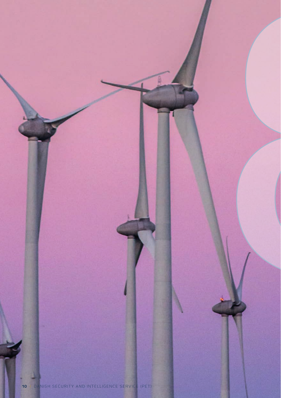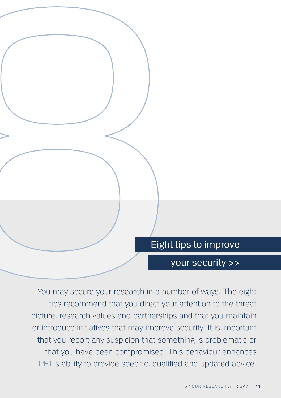# Eight tips to improve

# your security >>

You may secure your research in a number of ways. The eight tips recommend that you direct your attention to the threat picture, research values and partnerships and that you maintain or introduce initiatives that may improve security. It is important that you report any suspicion that something is problematic or that you have been compromised. This behaviour enhances PET's ability to provide specific, qualified and updated advice.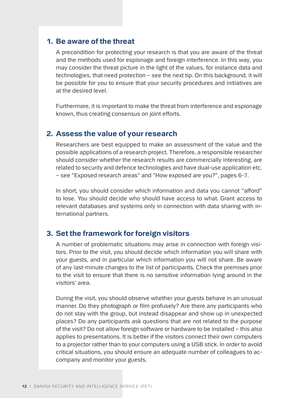### **1. Be aware of the threat**

A precondition for protecting your research is that you are aware of the threat and the methods used for espionage and foreign interference. In this way, you may consider the threat picture in the light of the values, for instance data and technologies, that need protection – see the next tip. On this background, it will be possible for you to ensure that your security procedures and initiatives are at the desired level.

Furthermore, it is important to make the threat from interference and espionage known, thus creating consensus on joint efforts.

### **2. Assess the value of your research**

Researchers are best equipped to make an assessment of the value and the possible applications of a research project. Therefore, a responsible researcher should consider whether the research results are commercially interesting, are related to security and defence technologies and have dual-use application etc. – see "Exposed research areas" and "How exposed are you?", pages 6-7.

In short, you should consider which information and data you cannot "afford" to lose. You should decide who should have access to what. Grant access to relevant databases and systems only in connection with data sharing with international partners.

## **3. Set the framework for foreign visitors**

A number of problematic situations may arise in connection with foreign visitors. Prior to the visit, you should decide which information you will share with your guests, and in particular which information you will not share. Be aware of any last-minute changes to the list of participants. Check the premises prior to the visit to ensure that there is no sensitive information lying around in the visitors' area.

During the visit, you should observe whether your guests behave in an unusual manner. Do they photograph or film profusely? Are there any participants who do not stay with the group, but instead disappear and show up in unexpected places? Do any participants ask questions that are not related to the purpose of the visit? Do not allow foreign software or hardware to be installed – this also applies to presentations. It is better if the visitors connect their own computers to a projector rather than to your computers using a USB stick. In order to avoid critical situations, you should ensure an adequate number of colleagues to accompany and monitor your guests.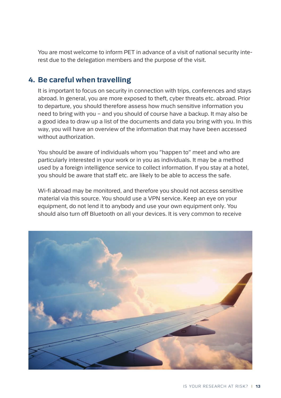You are most welcome to inform PET in advance of a visit of national security interest due to the delegation members and the purpose of the visit.

# **4. Be careful when travelling**

It is important to focus on security in connection with trips, conferences and stays abroad. In general, you are more exposed to theft, cyber threats etc. abroad. Prior to departure, you should therefore assess how much sensitive information you need to bring with you – and you should of course have a backup. It may also be a good idea to draw up a list of the documents and data you bring with you. In this way, you will have an overview of the information that may have been accessed without authorization.

You should be aware of individuals whom you "happen to" meet and who are particularly interested in your work or in you as individuals. It may be a method used by a foreign intelligence service to collect information. If you stay at a hotel, you should be aware that staff etc. are likely to be able to access the safe.

Wi-fi abroad may be monitored, and therefore you should not access sensitive material via this source. You should use a VPN service. Keep an eye on your equipment, do not lend it to anybody and use your own equipment only. You should also turn off Bluetooth on all your devices. It is very common to receive

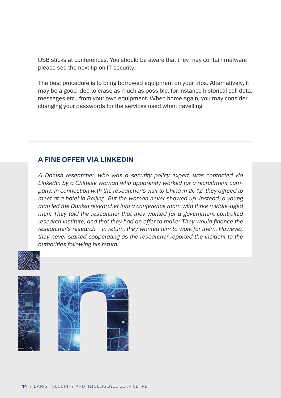USB sticks at conferences. You should be aware that they may contain malware – please see the next tip on IT security.

The best procedure is to bring borrowed equipment on your trips. Alternatively, it may be a good idea to erase as much as possible, for instance historical call data, messages etc., from your own equipment. When home again, you may consider changing your passwords for the services used when travelling.

### **A FINE OFFER VIA LINKEDIN**

*A Danish researcher, who was a security policy expert, was contacted via LinkedIn by a Chinese woman who apparently worked for a recruitment company. In connection with the researcher's visit to China in 2012, they agreed to meet at a hotel in Beijing. But the woman never showed up. Instead, a young man led the Danish researcher into a conference room with three middle-aged men. They told the researcher that they worked for a government-controlled research institute, and that they had an offer to make: They would finance the researcher's research – in return, they wanted him to work for them. However, they never started cooperating as the researcher reported the incident to the authorities following his return.*





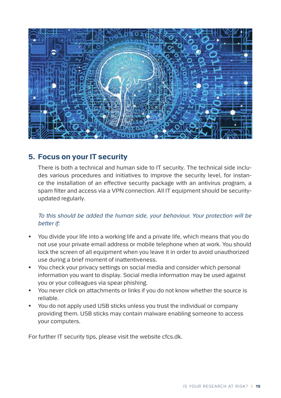

# **5. Focus on your IT security**

There is both a technical and human side to IT security. The technical side includes various procedures and initiatives to improve the security level, for instance the installation of an effective security package with an antivirus program, a spam filter and access via a VPN connection. All IT equipment should be securityupdated regularly.

### *To this should be added the human side, your behaviour. Your protection will be better if:*

- § You divide your life into a working life and a private life, which means that you do not use your private email address or mobile telephone when at work. You should lock the screen of all equipment when you leave it in order to avoid unauthorized use during a brief moment of inattentiveness.
- You check your privacy settings on social media and consider which personal information you want to display. Social media information may be used against you or your colleagues via spear phishing.
- § You never click on attachments or links if you do not know whether the source is reliable.
- You do not apply used USB sticks unless you trust the individual or company providing them. USB sticks may contain malware enabling someone to access your computers.

For further IT security tips, please visit the website cfcs.dk.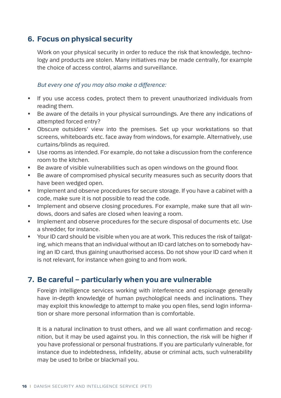# **6. Focus on physical security**

Work on your physical security in order to reduce the risk that knowledge, technology and products are stolen. Many initiatives may be made centrally, for example the choice of access control, alarms and surveillance.

### *But every one of you may also make a difference:*

- § If you use access codes, protect them to prevent unauthorized individuals from reading them.
- § Be aware of the details in your physical surroundings. Are there any indications of attempted forced entry?
- § Obscure outsiders' view into the premises. Set up your workstations so that screens, whiteboards etc. face away from windows, for example. Alternatively, use curtains/blinds as required.
- § Use rooms as intended. For example, do not take a discussion from the conference room to the kitchen.
- Be aware of visible vulnerabilities such as open windows on the ground floor.
- Be aware of compromised physical security measures such as security doors that have been wedged open.
- **Implement and observe procedures for secure storage. If you have a cabinet with a** code, make sure it is not possible to read the code.
- Implement and observe closing procedures. For example, make sure that all windows, doors and safes are closed when leaving a room.
- § Implement and observe procedures for the secure disposal of documents etc. Use a shredder, for instance.
- § Your ID card should be visible when you are at work. This reduces the risk of tailgating, which means that an individual without an ID card latches on to somebody having an ID card, thus gaining unauthorised access. Do not show your ID card when it is not relevant, for instance when going to and from work.

# **7. Be careful – particularly when you are vulnerable**

Foreign intelligence services working with interference and espionage generally have in-depth knowledge of human psychological needs and inclinations. They may exploit this knowledge to attempt to make you open files, send login information or share more personal information than is comfortable.

It is a natural inclination to trust others, and we all want confirmation and recognition, but it may be used against you. In this connection, the risk will be higher if you have professional or personal frustrations. If you are particularly vulnerable, for instance due to indebtedness, infidelity, abuse or criminal acts, such vulnerability may be used to bribe or blackmail you.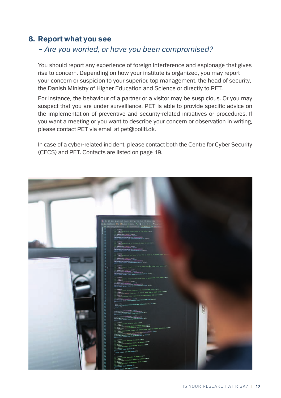# **8. Report what you see**

# *– Are you worried, or have you been compromised?*

You should report any experience of foreign interference and espionage that gives rise to concern. Depending on how your institute is organized, you may report your concern or suspicion to your superior, top management, the head of security, the Danish Ministry of Higher Education and Science or directly to PET.

For instance, the behaviour of a partner or a visitor may be suspicious. Or you may suspect that you are under surveillance. PET is able to provide specific advice on the implementation of preventive and security-related initiatives or procedures. If you want a meeting or you want to describe your concern or observation in writing, please contact PET via email at pet@politi.dk.

In case of a cyber-related incident, please contact both the Centre for Cyber Security (CFCS) and PET. Contacts are listed on page 19.

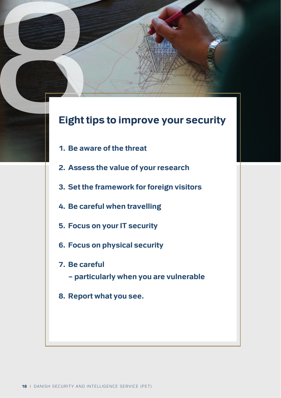# **Eight tips to improve your security**

- **1. Be aware of the threat**
- **2. Assess the value of your research**
- **3. Set the framework for foreign visitors**
- **4. Be careful when travelling**
- **5. Focus on your IT security**
- **6. Focus on physical security**
- **7. Be careful**
	- **particularly when you are vulnerable**
- **8. Report what you see.**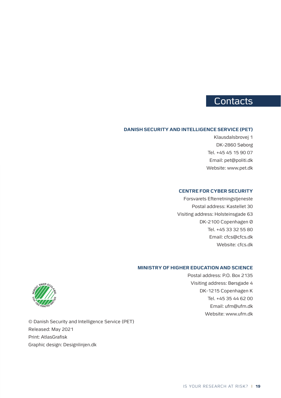# **Contacts**

#### **DANISH SECURITY AND INTELLIGENCE SERVICE (PET)**

Klausdalsbrovej 1 DK-2860 Søborg Tel. +45 45 15 90 07 Email: pet@politi.dk Website: www.pet.dk

#### **CENTRE FOR CYBER SECURITY**

Forsvarets Efterretningstjeneste Postal address: Kastellet 30 Visiting address: Holsteinsgade 63 DK-2100 Copenhagen Ø Tel. +45 33 32 55 80 Email: cfcs@cfcs.dk Website: cfcs.dk

#### **MINISTRY OF HIGHER EDUCATION AND SCIENCE**

Postal address: P.O. Box 2135 Visiting address: Børsgade 4 DK-1215 Copenhagen K Tel. +45 35 44 62 00 Email: ufm@ufm.dk Website: www.ufm.dk



© Danish Security and Intelligence Service (PET) Released: May 2021 Print: AtlasGrafisk Graphic design: Designlinjen.dk